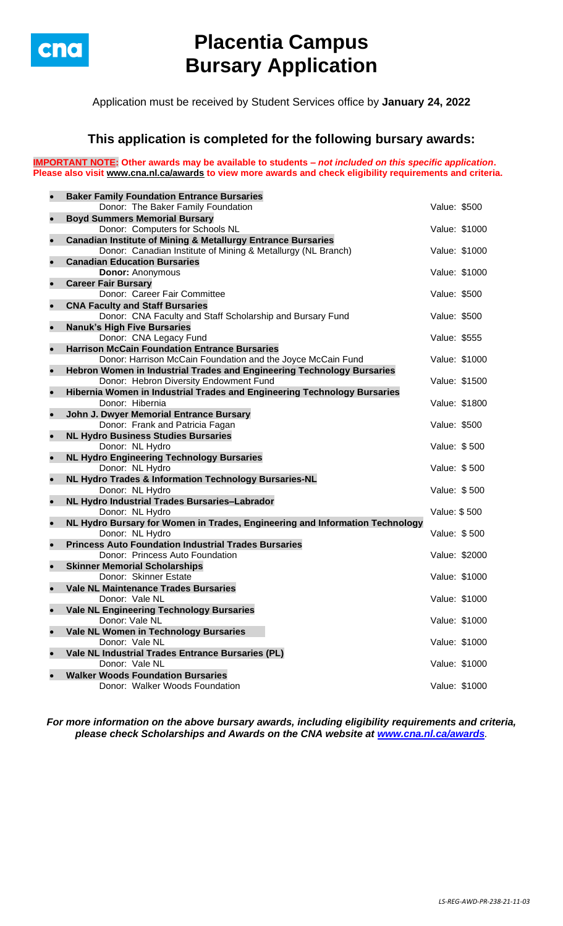

# **Placentia Campus Bursary Application**

Application must be received by Student Services office by **January 24, 2022**

### **This application is completed for the following bursary awards:**

**IMPORTANT NOTE: Other awards may be available to students –** *not included on this specific application***. Please also visit [www.cna.nl.ca/awards](http://www.cna.nl.ca/awards) to view more awards and check eligibility requirements and criteria.**

| $\bullet$ | <b>Baker Family Foundation Entrance Bursaries</b>                                           |               |               |
|-----------|---------------------------------------------------------------------------------------------|---------------|---------------|
|           | Donor: The Baker Family Foundation                                                          | Value: \$500  |               |
| $\bullet$ | <b>Boyd Summers Memorial Bursary</b>                                                        |               |               |
|           | Donor: Computers for Schools NL                                                             |               | Value: \$1000 |
| $\bullet$ | <b>Canadian Institute of Mining &amp; Metallurgy Entrance Bursaries</b>                     |               |               |
|           | Donor: Canadian Institute of Mining & Metallurgy (NL Branch)                                | Value: \$1000 |               |
| $\bullet$ | <b>Canadian Education Bursaries</b>                                                         |               |               |
|           | <b>Donor: Anonymous</b>                                                                     |               | Value: \$1000 |
| $\bullet$ | <b>Career Fair Bursary</b>                                                                  |               |               |
|           | Donor: Career Fair Committee                                                                | Value: \$500  |               |
| $\bullet$ | <b>CNA Faculty and Staff Bursaries</b>                                                      |               |               |
|           | Donor: CNA Faculty and Staff Scholarship and Bursary Fund                                   | Value: \$500  |               |
| $\bullet$ | <b>Nanuk's High Five Bursaries</b>                                                          |               |               |
|           | Donor: CNA Legacy Fund                                                                      | Value: \$555  |               |
| $\bullet$ | <b>Harrison McCain Foundation Entrance Bursaries</b>                                        |               |               |
|           | Donor: Harrison McCain Foundation and the Joyce McCain Fund                                 |               | Value: \$1000 |
| $\bullet$ | Hebron Women in Industrial Trades and Engineering Technology Bursaries                      |               |               |
|           | Donor: Hebron Diversity Endowment Fund                                                      |               | Value: \$1500 |
| $\bullet$ | Hibernia Women in Industrial Trades and Engineering Technology Bursaries<br>Donor: Hibernia |               | Value: \$1800 |
|           | John J. Dwyer Memorial Entrance Bursary                                                     |               |               |
| $\bullet$ | Donor: Frank and Patricia Fagan                                                             | Value: \$500  |               |
| $\bullet$ | <b>NL Hydro Business Studies Bursaries</b>                                                  |               |               |
|           | Donor: NL Hydro                                                                             | Value: \$500  |               |
| $\bullet$ | <b>NL Hydro Engineering Technology Bursaries</b>                                            |               |               |
|           | Donor: NL Hydro                                                                             | Value: \$500  |               |
| $\bullet$ | NL Hydro Trades & Information Technology Bursaries-NL                                       |               |               |
|           | Donor: NL Hydro                                                                             | Value: \$500  |               |
| $\bullet$ | NL Hydro Industrial Trades Bursaries-Labrador                                               |               |               |
|           | Donor: NL Hydro                                                                             | Value: \$500  |               |
| $\bullet$ | NL Hydro Bursary for Women in Trades, Engineering and Information Technology                |               |               |
|           | Donor: NL Hydro                                                                             | Value: \$500  |               |
| $\bullet$ | <b>Princess Auto Foundation Industrial Trades Bursaries</b>                                 |               |               |
|           | Donor: Princess Auto Foundation                                                             |               | Value: \$2000 |
| $\bullet$ | <b>Skinner Memorial Scholarships</b>                                                        |               |               |
|           | Donor: Skinner Estate                                                                       |               | Value: \$1000 |
| $\bullet$ | <b>Vale NL Maintenance Trades Bursaries</b>                                                 |               |               |
|           | Donor: Vale NL                                                                              |               | Value: \$1000 |
| $\bullet$ | <b>Vale NL Engineering Technology Bursaries</b>                                             |               |               |
|           | Donor: Vale NL                                                                              |               | Value: \$1000 |
| $\bullet$ | Vale NL Women in Technology Bursaries                                                       |               |               |
|           | Donor: Vale NL                                                                              |               | Value: \$1000 |
| $\bullet$ | Vale NL Industrial Trades Entrance Bursaries (PL)                                           |               |               |
|           | Donor: Vale NL                                                                              |               | Value: \$1000 |
| $\bullet$ | <b>Walker Woods Foundation Bursaries</b>                                                    |               |               |
|           | Donor: Walker Woods Foundation                                                              |               | Value: \$1000 |

*For more information on the above bursary awards, including eligibility requirements and criteria, please check Scholarships and Awards on the CNA website at [www.cna.nl.ca/awards](http://www.cna.nl.ca/awards).*